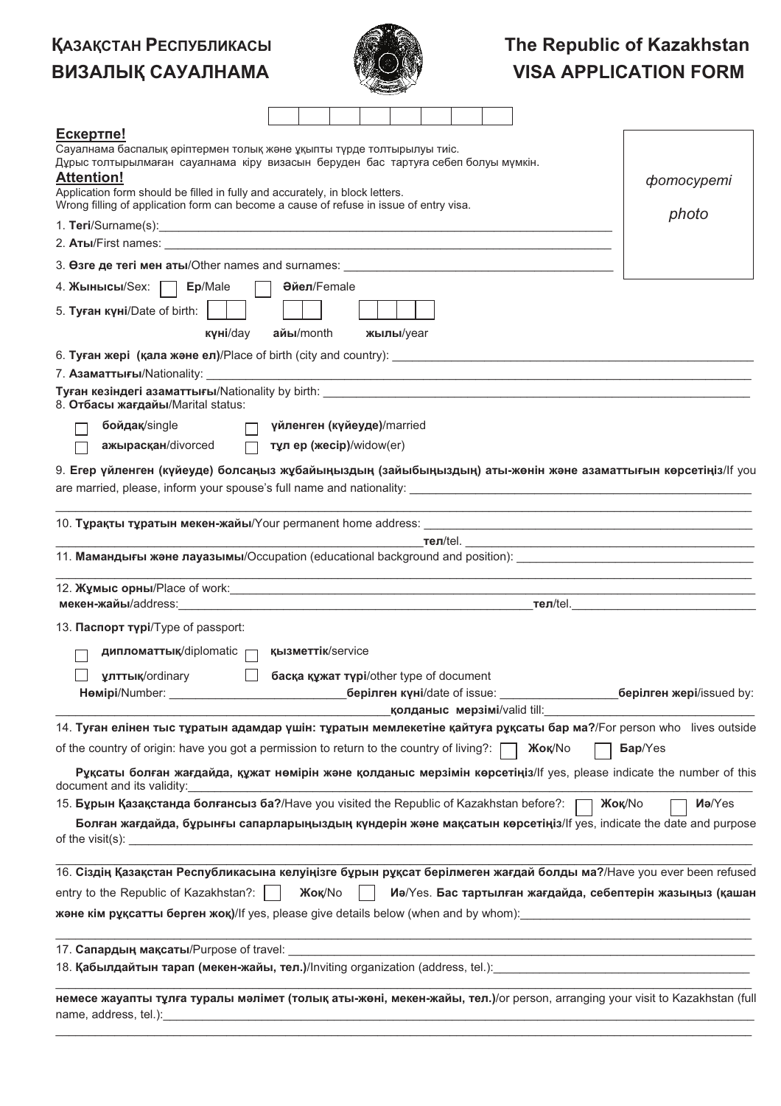## **ҚАЗАҚСТАН РЕСПУБЛИКАСЫ** ВИЗАЛЫҚ САУАЛНАМА



## The Republic of Kazakhstan **VISA APPLICATION FORM**

| Ескертпе!                                                                                                                                           |                            |                     |                                         |  |               |                                                                                        |                                                                                   |
|-----------------------------------------------------------------------------------------------------------------------------------------------------|----------------------------|---------------------|-----------------------------------------|--|---------------|----------------------------------------------------------------------------------------|-----------------------------------------------------------------------------------|
| Сауалнама баспалық әріптермен толық және ұқыпты түрде толтырылуы тиіс.                                                                              |                            |                     |                                         |  |               |                                                                                        |                                                                                   |
| Дұрыс толтырылмаған сауалнама кіру визасын беруден бас тартуға себеп болуы мүмкін.                                                                  |                            |                     |                                         |  |               |                                                                                        |                                                                                   |
| <b>Attention!</b><br>Application form should be filled in fully and accurately, in block letters.                                                   |                            |                     |                                         |  |               |                                                                                        | <i>comocypemi</i>                                                                 |
| Wrong filling of application form can become a cause of refuse in issue of entry visa.                                                              |                            |                     |                                         |  |               |                                                                                        | photo                                                                             |
|                                                                                                                                                     |                            |                     |                                         |  |               |                                                                                        |                                                                                   |
|                                                                                                                                                     |                            |                     |                                         |  |               |                                                                                        |                                                                                   |
| 3. Osre де тегі мен аты/Other names and surnames: _______________________________                                                                   |                            |                     |                                         |  |               |                                                                                        |                                                                                   |
| 4. Жынысы/Sex: Dep/Male                                                                                                                             |                            | <b>Әйел</b> /Female |                                         |  |               |                                                                                        |                                                                                   |
| 5. Туған күні/Date of birth:                                                                                                                        |                            |                     |                                         |  |               |                                                                                        |                                                                                   |
| күні/day                                                                                                                                            | $a$ йы/month               |                     | жылы/уеаг                               |  |               |                                                                                        |                                                                                   |
|                                                                                                                                                     |                            |                     |                                         |  |               |                                                                                        |                                                                                   |
|                                                                                                                                                     |                            |                     |                                         |  |               |                                                                                        |                                                                                   |
| 8. Отбасы жағдайы/Marital status:                                                                                                                   |                            |                     |                                         |  |               |                                                                                        |                                                                                   |
| бойдақ/single                                                                                                                                       | үйленген (күйеуде)/married |                     |                                         |  |               |                                                                                        |                                                                                   |
| ажырасқан/divorced                                                                                                                                  | П тұл ер (жесір)/widow(er) |                     |                                         |  |               |                                                                                        |                                                                                   |
|                                                                                                                                                     |                            |                     |                                         |  |               |                                                                                        |                                                                                   |
| 9. Егер үйленген (күйеуде) болсаңыз жұбайыңыздың (зайыбыңыздың) аты-жөнін және азаматтығын көрсетіңіз/lf you                                        |                            |                     |                                         |  |               |                                                                                        |                                                                                   |
|                                                                                                                                                     |                            |                     |                                         |  |               |                                                                                        | <u> 1989 - Johann Stoff, amerikansk politiker (d. 1989)</u>                       |
|                                                                                                                                                     |                            |                     |                                         |  |               |                                                                                        |                                                                                   |
| 11. Мамандығы және лауазымы/Occupation (educational background and position): ________________________________                                      |                            |                     |                                         |  |               |                                                                                        |                                                                                   |
|                                                                                                                                                     |                            |                     |                                         |  |               |                                                                                        | ,我们也不能在这里的人,我们也不能在这里的人,我们也不能在这里的人,我们也不能在这里的人,我们也不能在这里的人,我们也不能在这里的人,我们也不能在这里的人,我们也 |
| 12. Жұмыс орны/Place of work: постатающие постатающие при постатающие постатающие при постатающие при постатающ                                     |                            |                     |                                         |  |               |                                                                                        |                                                                                   |
|                                                                                                                                                     |                            |                     |                                         |  |               |                                                                                        |                                                                                   |
| 13. Паспорт түрі/Туре of passport:                                                                                                                  |                            |                     |                                         |  |               |                                                                                        |                                                                                   |
| дипломаттық/diplomatic при қызметтік/service                                                                                                        |                            |                     |                                         |  |               |                                                                                        |                                                                                   |
| <b>улттық/ordinary</b>                                                                                                                              |                            |                     | басқа құжат түрі/other type of document |  |               |                                                                                        |                                                                                   |
| Hemipi/Number:                                                                                                                                      |                            |                     | <b>Серілген күні/date of issue:</b>     |  |               |                                                                                        | __________ берілген жері/issued by:                                               |
|                                                                                                                                                     |                            |                     |                                         |  |               | <u>—————————————————————қолданыс мерзімі/valid till: _____________________________</u> |                                                                                   |
| 14. Туған елінен тыс тұратын адамдар үшін: тұратын мемлекетіне қайтуға рұқсаты бар ма?/For person who lives outside                                 |                            |                     |                                         |  |               |                                                                                        |                                                                                   |
| of the country of origin: have you got a permission to return to the country of living?: [                                                          |                            |                     |                                         |  | <b>Жок/No</b> |                                                                                        | <b>Бар/Yes</b>                                                                    |
| Руксаты болған жағдайда, құжат нөмірін және қолданыс мерзімін көрсетіңіз/lf yes, please indicate the number of this<br>document and its validity:   |                            |                     |                                         |  |               |                                                                                        |                                                                                   |
| 15. Бұрын Қазақстанда болғансыз ба?/Have you visited the Republic of Kazakhstan before?: [ [ Жоқ/No                                                 |                            |                     |                                         |  |               |                                                                                        | <b>Ma/Yes</b>                                                                     |
| Болған жағдайда, бұрынғы сапарларыңыздың күндерін және мақсатын көрсетіңіз/lf yes, indicate the date and purpose                                    |                            |                     |                                         |  |               |                                                                                        |                                                                                   |
|                                                                                                                                                     |                            |                     |                                         |  |               |                                                                                        |                                                                                   |
| 16. Сіздің Қазақстан Республикасына келуіңізге бұрын рұқсат берілмеген жағдай болды ма?/Have you ever been refused                                  |                            |                     |                                         |  |               |                                                                                        |                                                                                   |
| entry to the Republic of Kazakhstan?:                                                                                                               |                            | <b>Жоқ/No</b>       |                                         |  |               |                                                                                        | Иә/Yes. Бас тартылған жағдайда, себептерін жазыңыз (қашан                         |
|                                                                                                                                                     |                            |                     |                                         |  |               |                                                                                        |                                                                                   |
|                                                                                                                                                     |                            |                     |                                         |  |               |                                                                                        |                                                                                   |
| 18. Қабылдайтын тарап (мекен-жайы, тел.)/Inviting organization (address, tel.): [18] 2012 19 2020 19 2020 19 20                                     |                            |                     |                                         |  |               |                                                                                        |                                                                                   |
|                                                                                                                                                     |                            |                     |                                         |  |               |                                                                                        |                                                                                   |
| немесе жауапты тұлға туралы мәлімет (толық аты-жөні, мекен-жайы, тел.)/or person, arranging your visit to Kazakhstan (full<br>name, address, tel.): |                            |                     |                                         |  |               |                                                                                        |                                                                                   |